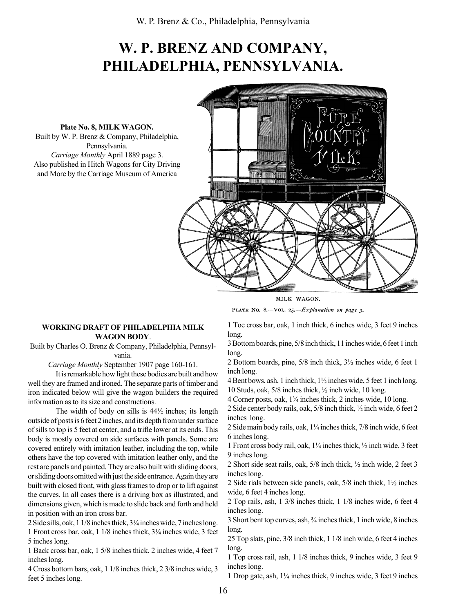## W. P. BRENZ AND COMPANY, PHILADELPHIA, PENNSYLVANIA.

Plate No. 8, MILK WAGON. Built by W. P. Brenz & Company, Philadelphia, Pennsylvania. Carriage Monthly April 1889 page 3. Also published in Hitch Wagons for City Driving and More by the Carriage Museum of America



MILK WAGON.

PLATE No. 8.-VOL. 25.-Explanation on page 3.

## WORKING DRAFT OF PHILADELPHIA MILK WAGON BODY.

Built by Charles O. Brenz & Company, Philadelphia, Pennsylvania.

Carriage Monthly September 1907 page 160-161.

It is remarkable how light these bodies are built and how well they are framed and ironed. The separate parts of timber and iron indicated below will give the wagon builders the required information as to its size and constructions.

The width of body on sills is  $44\frac{1}{2}$  inches; its length outside of posts is 6 feet 2 inches, and its depth from under surface of sills to top is 5 feet at center, and a trifle lower at its ends. This body is mostly covered on side surfaces with panels. Some are covered entirely with imitation leather, including the top, while others have the top covered with imitation leather only, and the rest are panels and painted. They are also built with sliding doors, or sliding doors omitted with just the side entrance. Again they are built with closed front, with glass frames to drop or to lift against the curves. In all cases there is a driving box as illustrated, and dimensions given, which is made to slide back and forth and held in position with an iron cross bar.

2 Side sills, oak, 1 1/8 inches thick,  $3\frac{1}{4}$  inches wide, 7 inches long. 1 Front cross bar, oak, 1 1/8 inches thick, 3<sup>1</sup>/<sub>4</sub> inches wide, 3 feet 5 inches long.

1 Back cross bar, oak, 1 5/8 inches thick, 2 inches wide, 4 feet 7 inches long.

4 Cross bottom bars, oak, 1 1/8 inches thick, 2 3/8 inches wide, 3 feet 5 inches long.

1 Toe cross bar, oak, 1 inch thick, 6 inches wide, 3 feet 9 inches long.

3 Bottom boards, pine, 5/8 inch thick, 11 inches wide, 6 feet 1 inch long.

2 Bottom boards, pine, 5/8 inch thick, 3½ inches wide, 6 feet 1 inch long.

4 Bent bows, ash, 1 inch thick, 1½ inches wide, 5 feet 1 inch long. 10 Studs, oak, 5/8 inches thick, ½ inch wide, 10 long.

4 Corner posts, oak, 1<sup>3</sup>/<sub>4</sub> inches thick, 2 inches wide, 10 long.

2 Side center body rails, oak, 5/8 inch thick, ½ inch wide, 6 feet 2 inches long.

2 Side main body rails, oak,  $1\frac{1}{4}$  inches thick,  $7/8$  inch wide, 6 feet 6 inches long.

1 Front cross body rail, oak,  $1\frac{1}{4}$  inches thick,  $\frac{1}{2}$  inch wide, 3 feet 9 inches long.

2 Short side seat rails, oak, 5/8 inch thick, ½ inch wide, 2 feet 3 inches long.

2 Side rials between side panels, oak, 5/8 inch thick, 1½ inches wide, 6 feet 4 inches long.

2 Top rails, ash, 1 3/8 inches thick, 1 1/8 inches wide, 6 feet 4 inches long.

3 Short bent top curves, ash, 3/4 inches thick, 1 inch wide, 8 inches long.

25 Top slats, pine, 3/8 inch thick, 1 1/8 inch wide, 6 feet 4 inches long.

1 Top cross rail, ash, 1 1/8 inches thick, 9 inches wide, 3 feet 9 inches long.

1 Drop gate, ash,  $1\frac{1}{4}$  inches thick, 9 inches wide, 3 feet 9 inches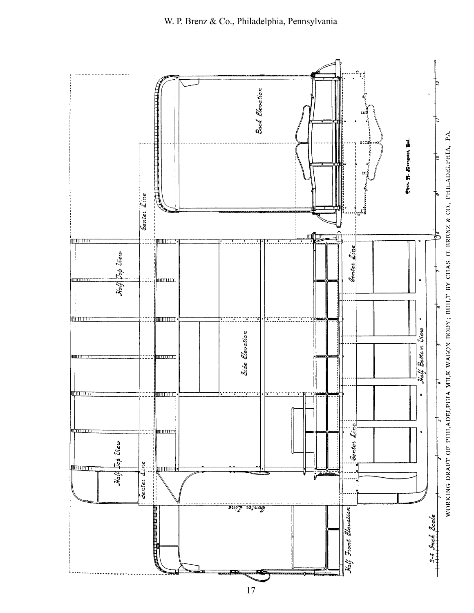

17